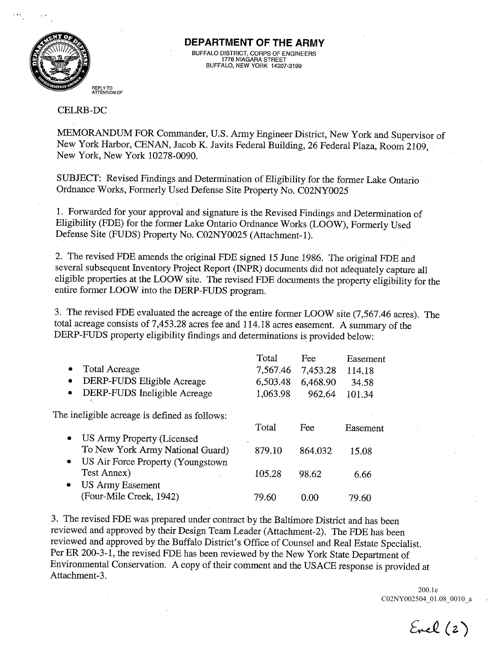

## DEPARTMENT OF THE ARMY BUFFALO DISTRICT, CORPS OF ENGINEE<br>1776 NIAGARA STREET<br>BUFFALO, NEW YORK 14207-3199

## REPLY TO<br>ATTENTION OF

## CELRB -DC

MEMORANDUM FOR Commander, U.S. Army Engineer District, New York and Supervisor of New York Harbor, CENAN, Jacob K. Javits Federal Building, 26 Federal Plaza, Room 2109, New York New York 10278-0090

SUBJECT: Revised Findings and Determination of Eligibility for the former Lake Ontario Ordnance Works, Formerly Used Defense Site Property No. C02NY0025

Forwarded for your approval and signature is the Revised Findings and Determination of Eligibility (FDE) for the former Lake Ontario Ordnance Works (LOOW), Formerly Used Defense Site (FUDS) Property No. C02NY0025 (Attachment-1).

2. The revised FDE amends the original FDE signed 15 June 1986. The original FDE and several subsequent Inventory Project Report (INPR) documents did not adequately capture all eligible properties at the LOOW site. The revised FDE documents the property eligibility for the entire former LOOW into the DERP-FUDS program

3. The revised FDE evaluated the acreage of the entire former LOOW site (7,567.46 acres). The total acreage consists of  $7,453.28$  acres fee and  $114.18$  acres easement. A summary of the DERP-FUDS property eligibility findings and determinations is provided below

|                                               |                                   | Total    | Fee      | Easement |
|-----------------------------------------------|-----------------------------------|----------|----------|----------|
| $\bullet$                                     | <b>Total Acreage</b>              | 7,567.46 | 7,453.28 | 114.18   |
| $\bullet$                                     | DERP-FUDS Eligible Acreage        | 6,503.48 | 6,468.90 | 34.58    |
| $\bullet$                                     | DERP-FUDS Ineligible Acreage      | 1,063.98 | 962.64   | 101.34   |
| The ineligible acreage is defined as follows: |                                   |          |          |          |
|                                               |                                   | Total    | Fee      | Easement |
| $\bullet$                                     | US Army Property (Licensed        |          |          |          |
|                                               | To New York Army National Guard)  | 879.10   | 864.032  | 15.08    |
| $\bullet$                                     | US Air Force Property (Youngstown |          |          |          |
|                                               | Test Annex)                       | 105.28   | 98.62    | 6.66     |
| ٠                                             | <b>US Army Easement</b>           |          |          |          |
|                                               | (Four-Mile Creek, 1942)           | 79.60    | 0.00     | 79.60    |
|                                               |                                   |          |          |          |

The revised FDE was prepared under contract by the Baltimore District and has been reviewed and approved by their Design Team Leader (Attachment-2). The FDE has been reviewed and approved by the Buffalo District's Office of Counsel and Real Estate Specialist. Per ER 200-3-1, the revised FDE has been reviewed by the New York State Department of Environmental Conservation. A copy of their comment and the USACE response is provided at Attachment-3

> C02NY002504\_01.08\_0010\_a 200.1e

 $Eucl(z)$